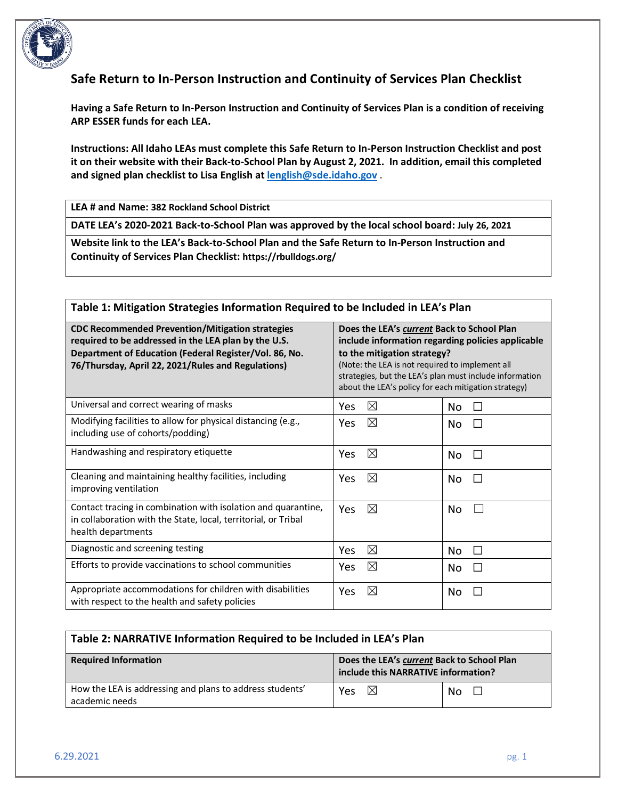

# **Safe Return to In-Person Instruction and Continuity of Services Plan Checklist**

**Having a Safe Return to In-Person Instruction and Continuity of Services Plan is a condition of receiving ARP ESSER funds for each LEA.** 

**Instructions: All Idaho LEAs must complete this Safe Return to In-Person Instruction Checklist and post it on their website with their Back-to-School Plan by August 2, 2021. In addition, email this completed and signed plan checklist to Lisa English at [lenglish@sde.idaho.gov](mailto:lenglish@sde.idaho.gov)** .

**LEA # and Name: 382 Rockland School District**

**DATE LEA's 2020-2021 Back-to-School Plan was approved by the local school board: July 26, 2021**

**Website link to the LEA's Back-to-School Plan and the Safe Return to In-Person Instruction and Continuity of Services Plan Checklist: https://rbulldogs.org/**

#### **Table 1: Mitigation Strategies Information Required to be Included in LEA's Plan**

| <b>CDC Recommended Prevention/Mitigation strategies</b><br>required to be addressed in the LEA plan by the U.S.<br>Department of Education (Federal Register/Vol. 86, No.<br>76/Thursday, April 22, 2021/Rules and Regulations) | Does the LEA's current Back to School Plan<br>include information regarding policies applicable<br>to the mitigation strategy?<br>(Note: the LEA is not required to implement all<br>strategies, but the LEA's plan must include information<br>about the LEA's policy for each mitigation strategy) |                     |  |
|---------------------------------------------------------------------------------------------------------------------------------------------------------------------------------------------------------------------------------|------------------------------------------------------------------------------------------------------------------------------------------------------------------------------------------------------------------------------------------------------------------------------------------------------|---------------------|--|
| Universal and correct wearing of masks                                                                                                                                                                                          | $\boxtimes$<br>Yes                                                                                                                                                                                                                                                                                   | No.<br>$\mathsf{L}$ |  |
| Modifying facilities to allow for physical distancing (e.g.,<br>including use of cohorts/podding)                                                                                                                               | $\boxtimes$<br>Yes                                                                                                                                                                                                                                                                                   | No<br>$\Box$        |  |
| Handwashing and respiratory etiquette                                                                                                                                                                                           | $\boxtimes$<br>Yes                                                                                                                                                                                                                                                                                   | No<br>П             |  |
| Cleaning and maintaining healthy facilities, including<br>improving ventilation                                                                                                                                                 | ⊠<br>Yes                                                                                                                                                                                                                                                                                             | No<br>П             |  |
| Contact tracing in combination with isolation and quarantine,<br>in collaboration with the State, local, territorial, or Tribal<br>health departments                                                                           | $\boxtimes$<br><b>Yes</b>                                                                                                                                                                                                                                                                            | No                  |  |
| Diagnostic and screening testing                                                                                                                                                                                                | $\boxtimes$<br>Yes                                                                                                                                                                                                                                                                                   | No.<br>П            |  |
| Efforts to provide vaccinations to school communities                                                                                                                                                                           | $\boxtimes$<br>Yes                                                                                                                                                                                                                                                                                   | No<br>П             |  |
| Appropriate accommodations for children with disabilities<br>with respect to the health and safety policies                                                                                                                     | ⊠<br>Yes                                                                                                                                                                                                                                                                                             | No.                 |  |

| Table 2: NARRATIVE Information Required to be Included in LEA's Plan       |                                                                                   |               |  |
|----------------------------------------------------------------------------|-----------------------------------------------------------------------------------|---------------|--|
| <b>Required Information</b>                                                | Does the LEA's current Back to School Plan<br>include this NARRATIVE information? |               |  |
| How the LEA is addressing and plans to address students'<br>academic needs | $\boxtimes$<br>Yes                                                                | No.<br>$\Box$ |  |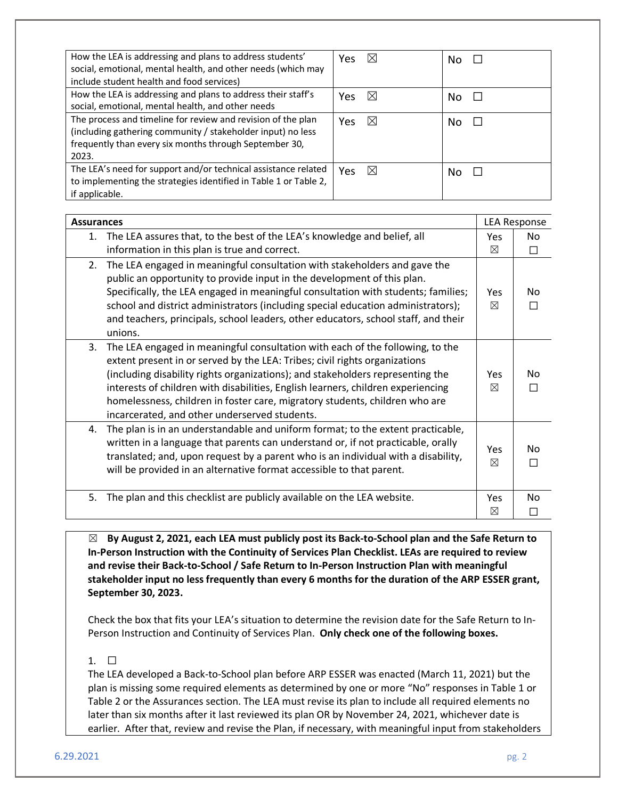| How the LEA is addressing and plans to address students'<br>social, emotional, mental health, and other needs (which may<br>include student health and food services)                          | $\boxtimes$<br>Yes. | No |
|------------------------------------------------------------------------------------------------------------------------------------------------------------------------------------------------|---------------------|----|
| How the LEA is addressing and plans to address their staff's<br>social, emotional, mental health, and other needs                                                                              | $\boxtimes$<br>Yes  | No |
| The process and timeline for review and revision of the plan<br>(including gathering community / stakeholder input) no less<br>frequently than every six months through September 30,<br>2023. | $\boxtimes$<br>Yes  | No |
| The LEA's need for support and/or technical assistance related<br>to implementing the strategies identified in Table 1 or Table 2,<br>if applicable.                                           | $\boxtimes$<br>Yes. | No |

| <b>Assurances</b>                                                                                                                                                                                                                                                                                                                                                                                                                                                       |                    | <b>LEA Response</b> |  |
|-------------------------------------------------------------------------------------------------------------------------------------------------------------------------------------------------------------------------------------------------------------------------------------------------------------------------------------------------------------------------------------------------------------------------------------------------------------------------|--------------------|---------------------|--|
| The LEA assures that, to the best of the LEA's knowledge and belief, all<br>1.<br>information in this plan is true and correct.                                                                                                                                                                                                                                                                                                                                         | Yes.<br>⊠          | No<br>П             |  |
| The LEA engaged in meaningful consultation with stakeholders and gave the<br>2.<br>public an opportunity to provide input in the development of this plan.<br>Specifically, the LEA engaged in meaningful consultation with students; families;<br>school and district administrators (including special education administrators);<br>and teachers, principals, school leaders, other educators, school staff, and their<br>unions.                                    | Yes<br>$\boxtimes$ | No<br>П             |  |
| The LEA engaged in meaningful consultation with each of the following, to the<br>3.<br>extent present in or served by the LEA: Tribes; civil rights organizations<br>(including disability rights organizations); and stakeholders representing the<br>interests of children with disabilities, English learners, children experiencing<br>homelessness, children in foster care, migratory students, children who are<br>incarcerated, and other underserved students. | Yes<br>⊠           | No<br>$\Box$        |  |
| The plan is in an understandable and uniform format; to the extent practicable,<br>4.<br>written in a language that parents can understand or, if not practicable, orally<br>translated; and, upon request by a parent who is an individual with a disability,<br>will be provided in an alternative format accessible to that parent.                                                                                                                                  | Yes<br>⊠           | No<br>П             |  |
| 5.<br>The plan and this checklist are publicly available on the LEA website.                                                                                                                                                                                                                                                                                                                                                                                            | <b>Yes</b><br>⊠    | No<br>$\Box$        |  |

☒ **By August 2, 2021, each LEA must publicly post its Back-to-School plan and the Safe Return to In-Person Instruction with the Continuity of Services Plan Checklist. LEAs are required to review and revise their Back-to-School / Safe Return to In-Person Instruction Plan with meaningful stakeholder input no less frequently than every 6 months for the duration of the ARP ESSER grant, September 30, 2023.** 

Check the box that fits your LEA's situation to determine the revision date for the Safe Return to In-Person Instruction and Continuity of Services Plan. **Only check one of the following boxes.**

### $1. \square$

The LEA developed a Back-to-School plan before ARP ESSER was enacted (March 11, 2021) but the plan is missing some required elements as determined by one or more "No" responses in Table 1 or Table 2 or the Assurances section. The LEA must revise its plan to include all required elements no later than six months after it last reviewed its plan OR by November 24, 2021, whichever date is earlier. After that, review and revise the Plan, if necessary, with meaningful input from stakeholders